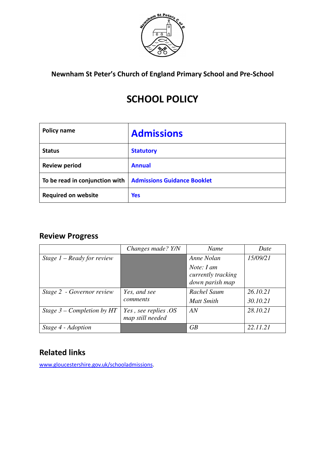

**Newnham St Peter's Church of England Primary School and Pre-School** 

# **SCHOOL POLICY**

| Policy name                    | <b>Admissions</b>                  |  |
|--------------------------------|------------------------------------|--|
| <b>Status</b>                  | <b>Statutory</b>                   |  |
| <b>Review period</b>           | <b>Annual</b>                      |  |
| To be read in conjunction with | <b>Admissions Guidance Booklet</b> |  |
| <b>Required on website</b>     | <b>Yes</b>                         |  |

# **Review Progress**

|                              | Changes made? Y/N                        | Name                                                | Date     |
|------------------------------|------------------------------------------|-----------------------------------------------------|----------|
| Stage $1 -$ Ready for review |                                          | Anne Nolan                                          | 15/09/21 |
|                              |                                          | Note: I am<br>currently tracking<br>down parish map |          |
| Stage 2 - Governor review    | Yes, and see                             | Rachel Saum                                         | 26.10.21 |
|                              | comments                                 | <b>Matt Smith</b>                                   | 30.10.21 |
| Stage $3$ – Completion by HT | Yes, see replies. OS<br>map still needed | AN                                                  | 28.10.21 |
| Stage 4 - Adoption           |                                          | GB                                                  | 22.11.21 |

# **Related links**

www.gloucestershire.gov.uk/schooladmissions.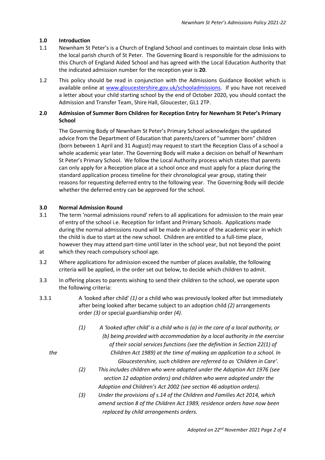# **1.0 Introduction**

- 1.1 Newnham St Peter's is a Church of England School and continues to maintain close links with the local parish church of St Peter. The Governing Board is responsible for the admissions to this Church of England Aided School and has agreed with the Local Education Authority that the indicated admission number for the reception year is **20**.
- 1.2 This policy should be read in conjunction with the Admissions Guidance Booklet which is available online at www.gloucestershire.gov.uk/schooladmissions. If you have not received a letter about your child starting school by the end of October 2020, you should contact the Admission and Transfer Team, Shire Hall, Gloucester, GL1 2TP.

# **2.0 Admission of Summer Born Children for Reception Entry for Newnham St Peter's Primary School**

 The Governing Body of Newnham St Peter's Primary School acknowledges the updated advice from the Department of Education that parents/carers of "summer born" children (born between 1 April and 31 August) may request to start the Reception Class of a school a whole academic year later. The Governing Body will make a decision on behalf of Newnham St Peter's Primary School. We follow the Local Authority process which states that parents can only apply for a Reception place at a school once and must apply for a place during the standard application process timeline for their chronological year group, stating their reasons for requesting deferred entry to the following year. The Governing Body will decide whether the deferred entry can be approved for the school.

# **3.0 Normal Admission Round**

- 3.1 The term 'normal admissions round' refers to all applications for admission to the main year of entry of the school i.e. Reception for Infant and Primary Schools. Applications made during the normal admissions round will be made in advance of the academic year in which the child is due to start at the new school. Children are entitled to a full-time place, however they may attend part-time until later in the school year, but not beyond the point at which they reach compulsory school age.
- 3.2 Where applications for admission exceed the number of places available, the following
- 3.3 In offering places to parents wishing to send their children to the school, we operate upon the following criteria:

criteria will be applied, in the order set out below, to decide which children to admit.

- 3.3.1 A *'*looked after child' *(1)* or a child who was previously looked after but immediately after being looked after became subject to an adoption child *(2)* arrangements order *(3)* or special guardianship order *(4).*
	- *(1) A 'looked after child' is a child who is (a) in the care of a local authority, or (b) being provided with accommodation by a local authority in the exercise of their social services functions (see the definition in Section 22(1) of the Children Act 1989) at the time of making an application to a school. In Gloucestershire, such children are referred to as 'Children in Care'.* 
		- *(2) This includes children who were adopted under the Adoption Act 1976 (see section 12 adoption orders) and children who were adopted under the Adoption and Children's Act 2002 (see section 46 adoption orders).*
		- *(3) Under the provisions of s.14 of the Children and Families Act 2014, which amend section 8 of the Children Act 1989, residence orders have now been replaced by child arrangements orders.*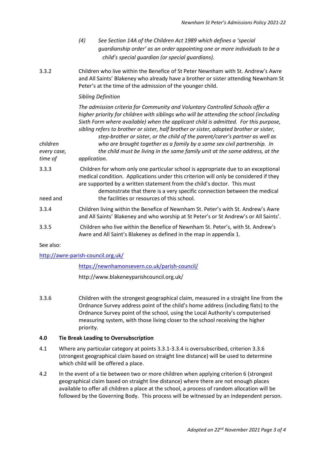- *(4) See Section 14A of the Children Act 1989 which defines a 'special guardianship order' as an order appointing one or more individuals to be a child's special guardian (or special guardians).*
- 3.3.2 Children who live within the Benefice of St Peter Newnham with St. Andrew's Awre and All Saints' Blakeney who already have a brother or sister attending Newnham St Peter's at the time of the admission of the younger child.

# *Sibling Definition*

 *The admission criteria for Community and Voluntary Controlled Schools offer a higher priority for children with siblings who will be attending the school (including Sixth Form where available) when the applicant child is admitted. For this purpose, sibling refers to brother or sister, half brother or sister, adopted brother or sister,* 

 *step-brother or sister, or the child of the parent/carer's partner as well as children who are brought together as a family by a same sex civil partnership. In every case, the child must be living in the same family unit at the same address, at the* 

*time of application.*

- 3.3.3 Children for whom only one particular school is appropriate due to an exceptional medical condition. Applications under this criterion will only be considered if they are supported by a written statement from the child's doctor. This must
- demonstrate that there is a very specific connection between the medical need and the facilities or resources of this school.
- 3.3.4 Children living within the Benefice of Newnham St. Peter's with St. Andrew's Awre and All Saints' Blakeney and who worship at St Peter's or St Andrew's or All Saints'.
- 3.3.5 Children who live within the Benefice of Newnham St. Peter's, with St. Andrew's Awre and All Saint's Blakeney as defined in the map in appendix 1.

See also:

# http://awre-parish-council.org.uk/

#### https://newnhamonsevern.co.uk/parish-council/

#### http://www.blakeneyparishcouncil.org.uk/

3.3.6 Children with the strongest geographical claim, measured in a straight line from the Ordnance Survey address point of the child's home address (including flats) to the Ordnance Survey point of the school, using the Local Authority's computerised measuring system, with those living closer to the school receiving the higher priority.

#### **4.0 Tie Break Leading to Oversubscription**

- 4.1 Where any particular category at points 3.3.1-3.3.4 is oversubscribed, criterion 3.3.6 (strongest geographical claim based on straight line distance) will be used to determine which child will be offered a place.
- 4.2 In the event of a tie between two or more children when applying criterion 6 (strongest geographical claim based on straight line distance) where there are not enough places available to offer all children a place at the school, a process of random allocation will be followed by the Governing Body. This process will be witnessed by an independent person.